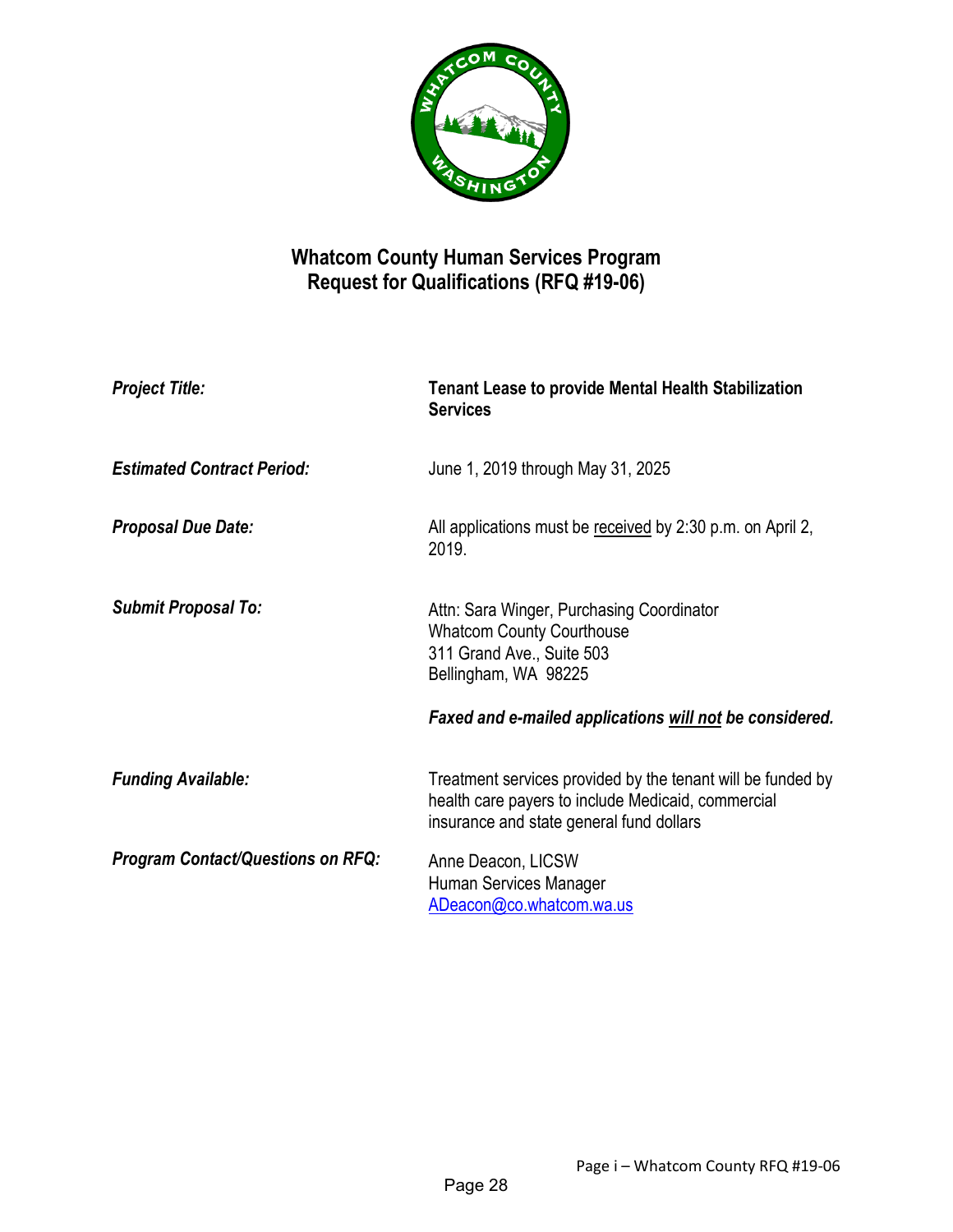

# **Whatcom County Human Services Program Request for Qualifications (RFQ #19-06)**

| <b>Project Title:</b>                    | <b>Tenant Lease to provide Mental Health Stabilization</b><br><b>Services</b>                                                                                 |
|------------------------------------------|---------------------------------------------------------------------------------------------------------------------------------------------------------------|
| <b>Estimated Contract Period:</b>        | June 1, 2019 through May 31, 2025                                                                                                                             |
| <b>Proposal Due Date:</b>                | All applications must be received by 2:30 p.m. on April 2,<br>2019.                                                                                           |
| <b>Submit Proposal To:</b>               | Attn: Sara Winger, Purchasing Coordinator<br><b>Whatcom County Courthouse</b><br>311 Grand Ave., Suite 503<br>Bellingham, WA 98225                            |
|                                          | Faxed and e-mailed applications will not be considered.                                                                                                       |
| <b>Funding Available:</b>                | Treatment services provided by the tenant will be funded by<br>health care payers to include Medicaid, commercial<br>insurance and state general fund dollars |
| <b>Program Contact/Questions on RFQ:</b> | Anne Deacon, LICSW<br>Human Services Manager<br>ADeacon@co.whatcom.wa.us                                                                                      |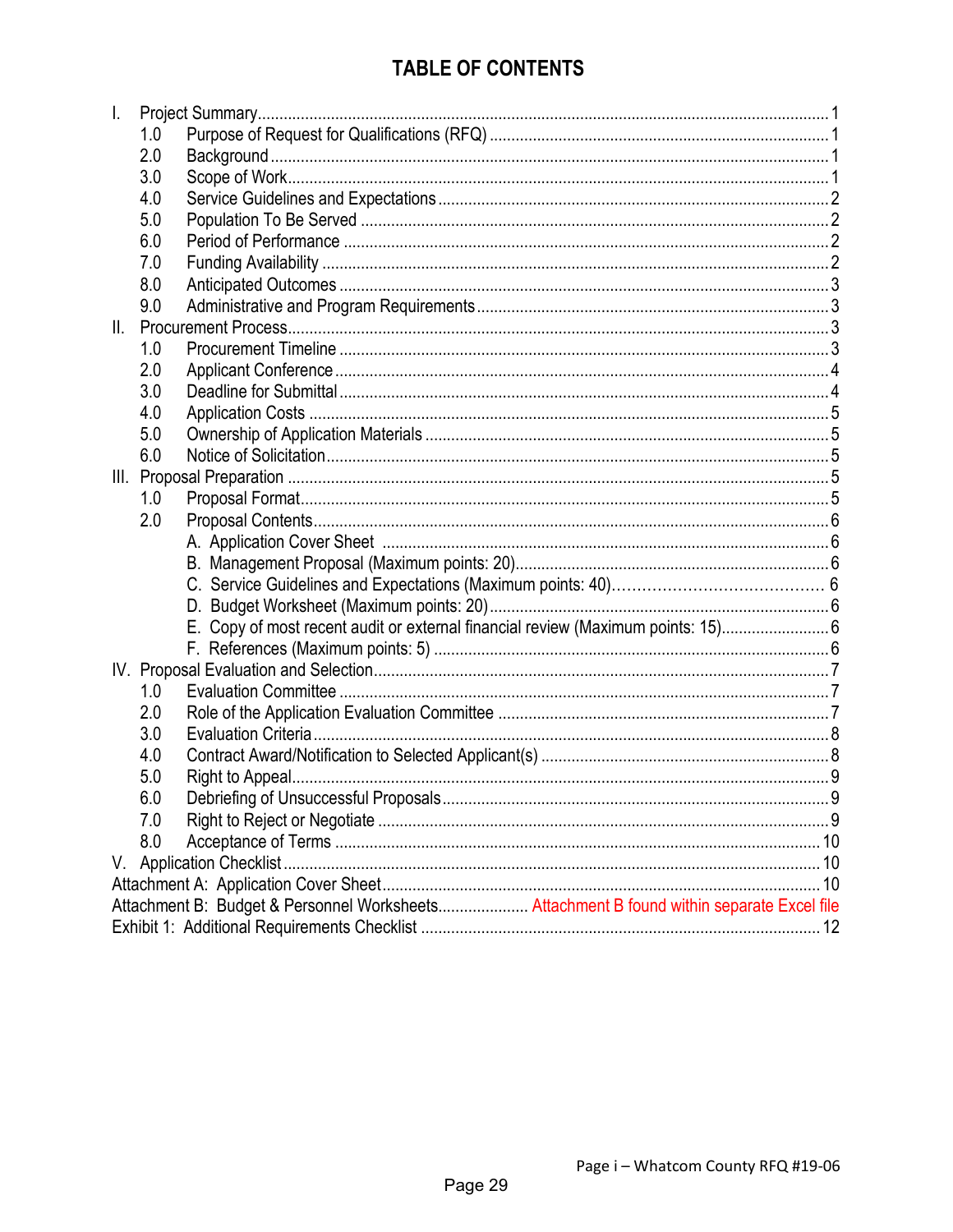# **TABLE OF CONTENTS**

| I.  |     |                                                                                           |
|-----|-----|-------------------------------------------------------------------------------------------|
|     | 1.0 |                                                                                           |
|     | 2.0 |                                                                                           |
|     | 3.0 |                                                                                           |
|     | 4.0 |                                                                                           |
|     | 5.0 |                                                                                           |
|     | 6.0 |                                                                                           |
|     | 7.0 |                                                                                           |
|     | 8.0 |                                                                                           |
|     | 9.0 |                                                                                           |
| II. |     |                                                                                           |
|     | 1.0 |                                                                                           |
|     | 2.0 |                                                                                           |
|     | 3.0 |                                                                                           |
|     | 4.0 |                                                                                           |
|     | 5.0 |                                                                                           |
|     | 6.0 |                                                                                           |
|     |     |                                                                                           |
|     | 1.0 |                                                                                           |
|     | 2.0 |                                                                                           |
|     |     |                                                                                           |
|     |     |                                                                                           |
|     |     |                                                                                           |
|     |     |                                                                                           |
|     |     | E. Copy of most recent audit or external financial review (Maximum points: 15) 6          |
|     |     |                                                                                           |
|     |     |                                                                                           |
|     | 1.0 |                                                                                           |
|     | 2.0 |                                                                                           |
|     | 3.0 |                                                                                           |
|     | 4.0 |                                                                                           |
|     | 5.0 |                                                                                           |
|     | 6.0 |                                                                                           |
|     | 7.0 |                                                                                           |
|     | 8.0 |                                                                                           |
|     |     |                                                                                           |
|     |     |                                                                                           |
|     |     | Attachment B: Budget & Personnel Worksheets Attachment B found within separate Excel file |
|     |     |                                                                                           |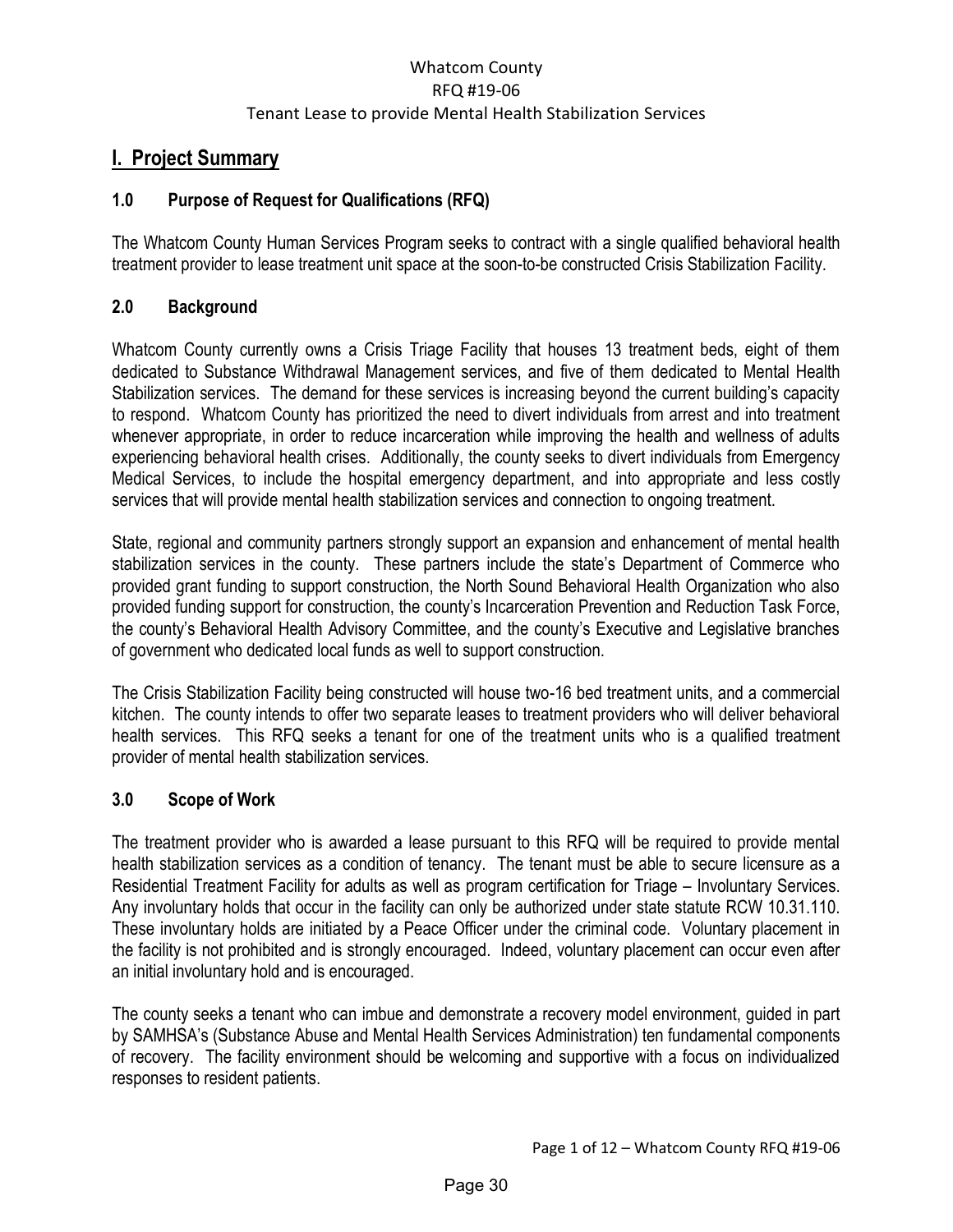## <span id="page-2-0"></span>**I. Project Summary**

### <span id="page-2-1"></span>**1.0 Purpose of Request for Qualifications (RFQ)**

The Whatcom County Human Services Program seeks to contract with a single qualified behavioral health treatment provider to lease treatment unit space at the soon-to-be constructed Crisis Stabilization Facility.

#### <span id="page-2-2"></span>**2.0 Background**

Whatcom County currently owns a Crisis Triage Facility that houses 13 treatment beds, eight of them dedicated to Substance Withdrawal Management services, and five of them dedicated to Mental Health Stabilization services. The demand for these services is increasing beyond the current building's capacity to respond. Whatcom County has prioritized the need to divert individuals from arrest and into treatment whenever appropriate, in order to reduce incarceration while improving the health and wellness of adults experiencing behavioral health crises. Additionally, the county seeks to divert individuals from Emergency Medical Services, to include the hospital emergency department, and into appropriate and less costly services that will provide mental health stabilization services and connection to ongoing treatment.

State, regional and community partners strongly support an expansion and enhancement of mental health stabilization services in the county. These partners include the state's Department of Commerce who provided grant funding to support construction, the North Sound Behavioral Health Organization who also provided funding support for construction, the county's Incarceration Prevention and Reduction Task Force, the county's Behavioral Health Advisory Committee, and the county's Executive and Legislative branches of government who dedicated local funds as well to support construction.

The Crisis Stabilization Facility being constructed will house two-16 bed treatment units, and a commercial kitchen. The county intends to offer two separate leases to treatment providers who will deliver behavioral health services. This RFQ seeks a tenant for one of the treatment units who is a qualified treatment provider of mental health stabilization services.

#### <span id="page-2-3"></span>**3.0 Scope of Work**

The treatment provider who is awarded a lease pursuant to this RFQ will be required to provide mental health stabilization services as a condition of tenancy. The tenant must be able to secure licensure as a Residential Treatment Facility for adults as well as program certification for Triage – Involuntary Services. Any involuntary holds that occur in the facility can only be authorized under state statute RCW 10.31.110. These involuntary holds are initiated by a Peace Officer under the criminal code. Voluntary placement in the facility is not prohibited and is strongly encouraged. Indeed, voluntary placement can occur even after an initial involuntary hold and is encouraged.

The county seeks a tenant who can imbue and demonstrate a recovery model environment, guided in part by SAMHSA's (Substance Abuse and Mental Health Services Administration) ten fundamental components of recovery. The facility environment should be welcoming and supportive with a focus on individualized responses to resident patients.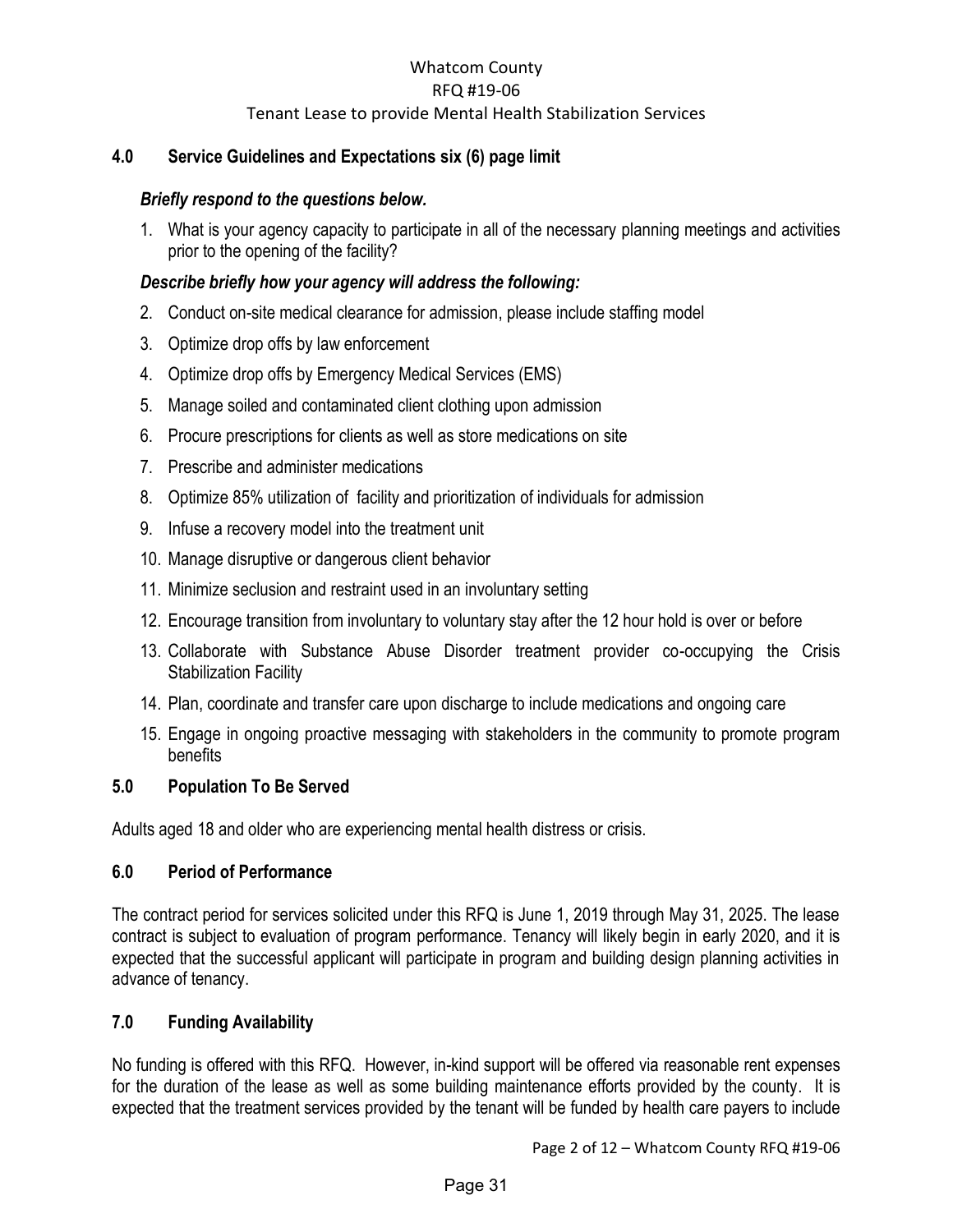#### <span id="page-3-0"></span>**4.0 Service Guidelines and Expectations six (6) page limit**

#### *Briefly respond to the questions below.*

1. What is your agency capacity to participate in all of the necessary planning meetings and activities prior to the opening of the facility?

#### *Describe briefly how your agency will address the following:*

- 2. Conduct on-site medical clearance for admission, please include staffing model
- 3. Optimize drop offs by law enforcement
- 4. Optimize drop offs by Emergency Medical Services (EMS)
- 5. Manage soiled and contaminated client clothing upon admission
- 6. Procure prescriptions for clients as well as store medications on site
- 7. Prescribe and administer medications
- 8. Optimize 85% utilization of facility and prioritization of individuals for admission
- 9. Infuse a recovery model into the treatment unit
- 10. Manage disruptive or dangerous client behavior
- 11. Minimize seclusion and restraint used in an involuntary setting
- 12. Encourage transition from involuntary to voluntary stay after the 12 hour hold is over or before
- 13. Collaborate with Substance Abuse Disorder treatment provider co-occupying the Crisis Stabilization Facility
- 14. Plan, coordinate and transfer care upon discharge to include medications and ongoing care
- 15. Engage in ongoing proactive messaging with stakeholders in the community to promote program benefits

#### <span id="page-3-1"></span>**5.0 Population To Be Served**

Adults aged 18 and older who are experiencing mental health distress or crisis.

#### <span id="page-3-2"></span>**6.0 Period of Performance**

The contract period for services solicited under this RFQ is June 1, 2019 through May 31, 2025. The lease contract is subject to evaluation of program performance. Tenancy will likely begin in early 2020, and it is expected that the successful applicant will participate in program and building design planning activities in advance of tenancy.

#### <span id="page-3-3"></span>**7.0 Funding Availability**

No funding is offered with this RFQ. However, in-kind support will be offered via reasonable rent expenses for the duration of the lease as well as some building maintenance efforts provided by the county. It is expected that the treatment services provided by the tenant will be funded by health care payers to include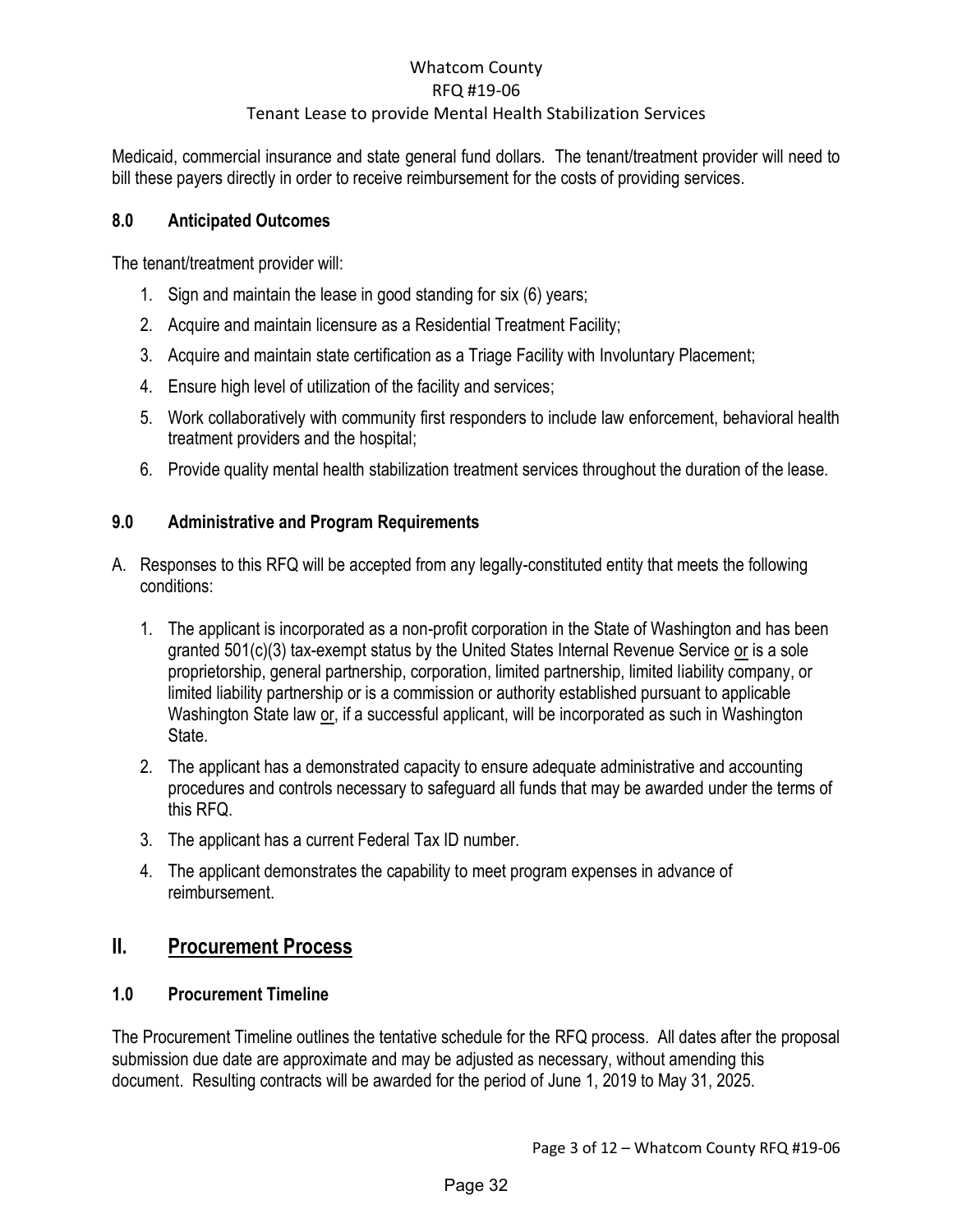Medicaid, commercial insurance and state general fund dollars. The tenant/treatment provider will need to bill these payers directly in order to receive reimbursement for the costs of providing services.

### <span id="page-4-0"></span>**8.0 Anticipated Outcomes**

The tenant/treatment provider will:

- 1. Sign and maintain the lease in good standing for six (6) years;
- 2. Acquire and maintain licensure as a Residential Treatment Facility;
- 3. Acquire and maintain state certification as a Triage Facility with Involuntary Placement;
- 4. Ensure high level of utilization of the facility and services;
- 5. Work collaboratively with community first responders to include law enforcement, behavioral health treatment providers and the hospital;
- 6. Provide quality mental health stabilization treatment services throughout the duration of the lease.

### <span id="page-4-1"></span>**9.0 Administrative and Program Requirements**

- A. Responses to this RFQ will be accepted from any legally-constituted entity that meets the following conditions:
	- 1. The applicant is incorporated as a non-profit corporation in the State of Washington and has been granted 501(c)(3) tax-exempt status by the United States Internal Revenue Service or is a sole proprietorship, general partnership, corporation, limited partnership, limited liability company, or limited liability partnership or is a commission or authority established pursuant to applicable Washington State law or, if a successful applicant, will be incorporated as such in Washington State.
	- 2. The applicant has a demonstrated capacity to ensure adequate administrative and accounting procedures and controls necessary to safeguard all funds that may be awarded under the terms of this RFQ.
	- 3. The applicant has a current Federal Tax ID number.
	- 4. The applicant demonstrates the capability to meet program expenses in advance of reimbursement.

## <span id="page-4-2"></span>**II. Procurement Process**

## <span id="page-4-3"></span>**1.0 Procurement Timeline**

The Procurement Timeline outlines the tentative schedule for the RFQ process. All dates after the proposal submission due date are approximate and may be adjusted as necessary, without amending this document. Resulting contracts will be awarded for the period of June 1, 2019 to May 31, 2025.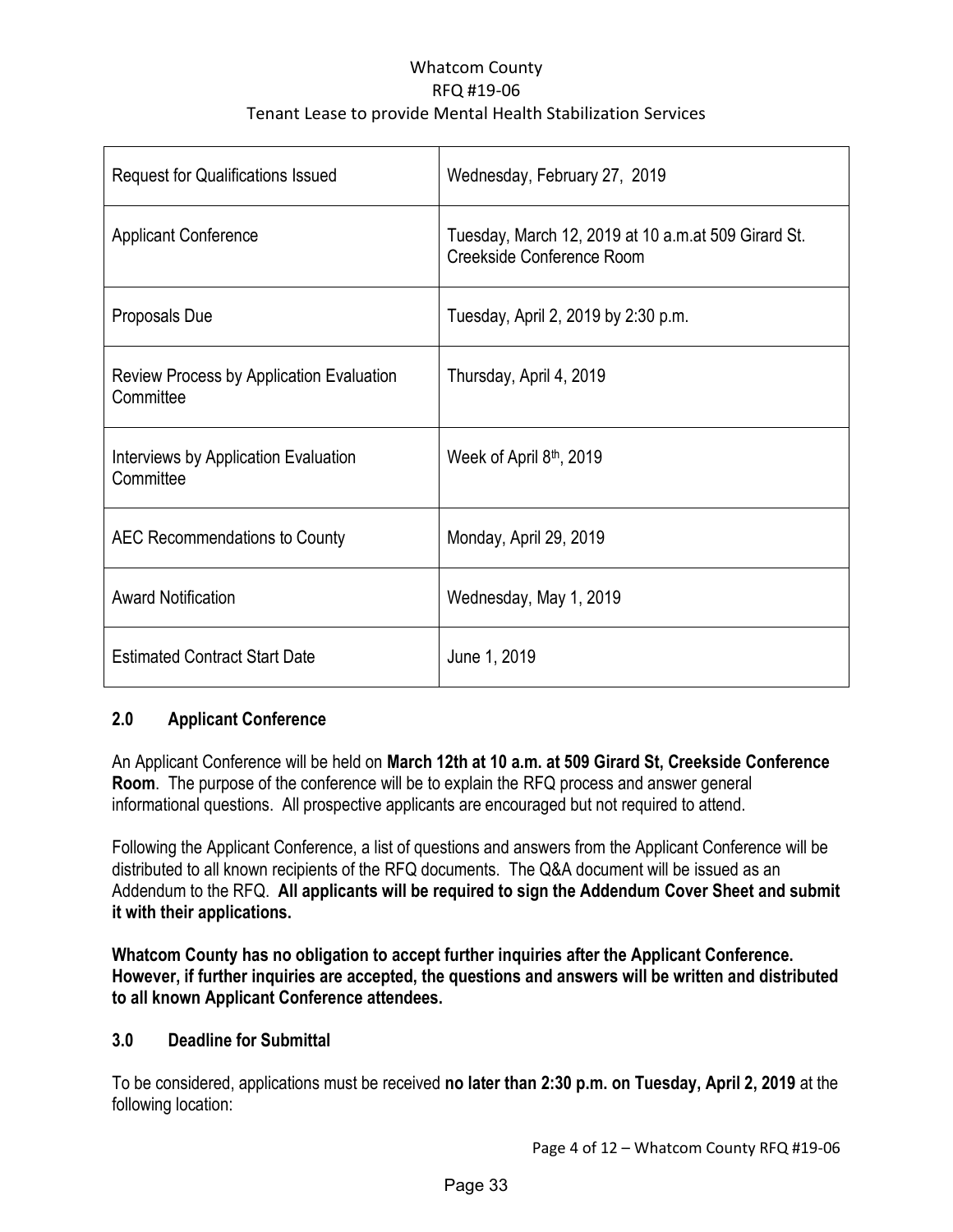| <b>Request for Qualifications Issued</b>                     | Wednesday, February 27, 2019                                                     |
|--------------------------------------------------------------|----------------------------------------------------------------------------------|
| <b>Applicant Conference</b>                                  | Tuesday, March 12, 2019 at 10 a.m.at 509 Girard St.<br>Creekside Conference Room |
| Proposals Due                                                | Tuesday, April 2, 2019 by 2:30 p.m.                                              |
| <b>Review Process by Application Evaluation</b><br>Committee | Thursday, April 4, 2019                                                          |
| Interviews by Application Evaluation<br>Committee            | Week of April 8 <sup>th</sup> , 2019                                             |
| AEC Recommendations to County                                | Monday, April 29, 2019                                                           |
| <b>Award Notification</b>                                    | Wednesday, May 1, 2019                                                           |
| <b>Estimated Contract Start Date</b>                         | June 1, 2019                                                                     |

## <span id="page-5-0"></span>**2.0 Applicant Conference**

An Applicant Conference will be held on **March 12th at 10 a.m. at 509 Girard St, Creekside Conference Room**. The purpose of the conference will be to explain the RFQ process and answer general informational questions. All prospective applicants are encouraged but not required to attend.

Following the Applicant Conference, a list of questions and answers from the Applicant Conference will be distributed to all known recipients of the RFQ documents. The Q&A document will be issued as an Addendum to the RFQ. **All applicants will be required to sign the Addendum Cover Sheet and submit it with their applications.**

**Whatcom County has no obligation to accept further inquiries after the Applicant Conference. However, if further inquiries are accepted, the questions and answers will be written and distributed to all known Applicant Conference attendees.** 

#### <span id="page-5-1"></span>**3.0 Deadline for Submittal**

To be considered, applications must be received **no later than 2:30 p.m. on Tuesday, April 2, 2019** at the following location: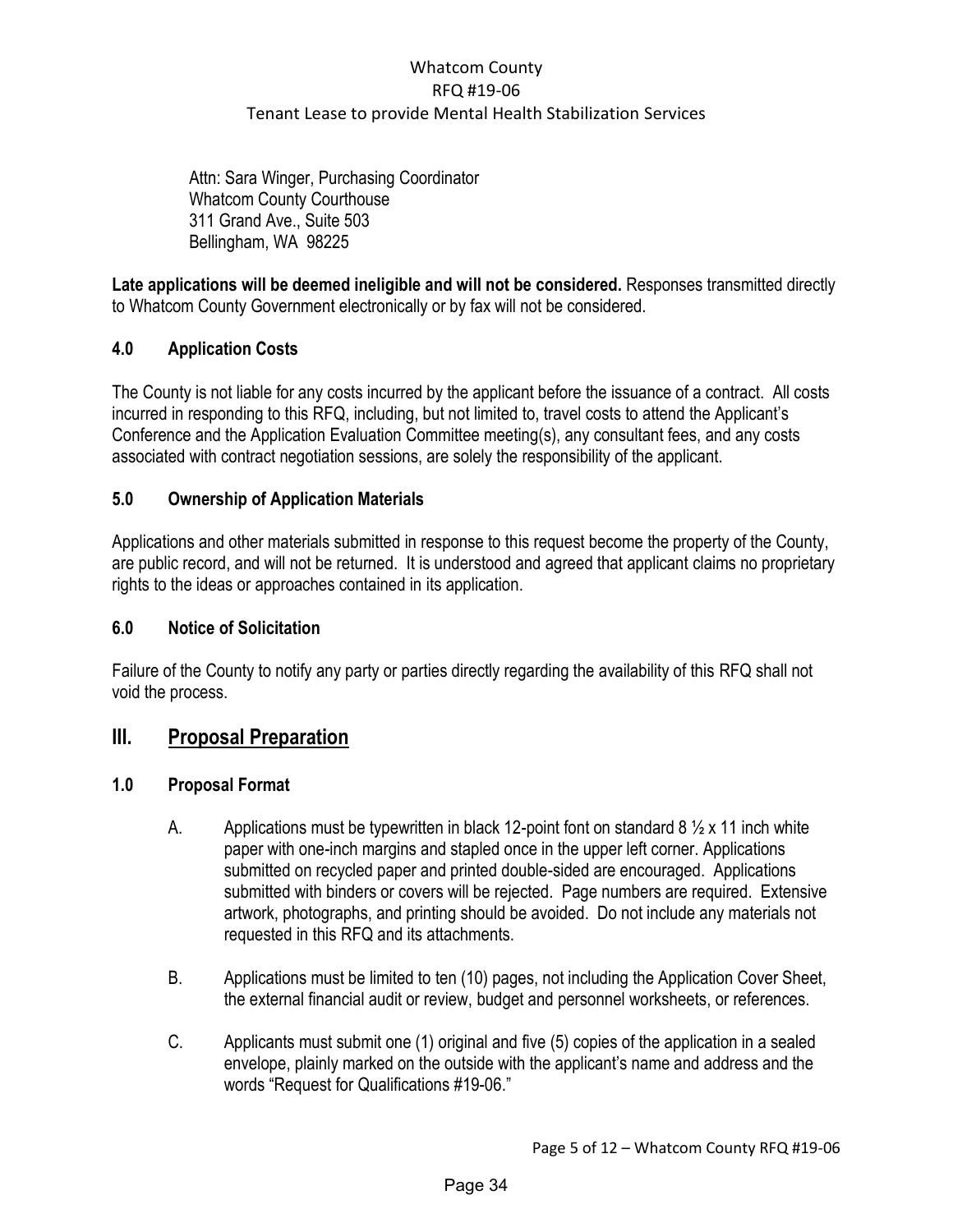Attn: Sara Winger, Purchasing Coordinator Whatcom County Courthouse 311 Grand Ave., Suite 503 Bellingham, WA 98225

Late applications will be deemed ineligible and will not be considered. Responses transmitted directly to Whatcom County Government electronically or by fax will not be considered.

## <span id="page-6-0"></span>**4.0 Application Costs**

The County is not liable for any costs incurred by the applicant before the issuance of a contract. All costs incurred in responding to this RFQ, including, but not limited to, travel costs to attend the Applicant's Conference and the Application Evaluation Committee meeting(s), any consultant fees, and any costs associated with contract negotiation sessions, are solely the responsibility of the applicant.

#### <span id="page-6-1"></span>**5.0 Ownership of Application Materials**

Applications and other materials submitted in response to this request become the property of the County, are public record, and will not be returned. It is understood and agreed that applicant claims no proprietary rights to the ideas or approaches contained in its application.

#### <span id="page-6-2"></span>**6.0 Notice of Solicitation**

Failure of the County to notify any party or parties directly regarding the availability of this RFQ shall not void the process.

## <span id="page-6-3"></span>**III. Proposal Preparation**

#### <span id="page-6-4"></span>**1.0 Proposal Format**

- A. Applications must be typewritten in black 12-point font on standard 8  $\frac{1}{2}$  x 11 inch white paper with one-inch margins and stapled once in the upper left corner. Applications submitted on recycled paper and printed double-sided are encouraged. Applications submitted with binders or covers will be rejected. Page numbers are required. Extensive artwork, photographs, and printing should be avoided. Do not include any materials not requested in this RFQ and its attachments.
- B. Applications must be limited to ten (10) pages, not including the Application Cover Sheet, the external financial audit or review, budget and personnel worksheets, or references.
- C. Applicants must submit one (1) original and five (5) copies of the application in a sealed envelope, plainly marked on the outside with the applicant's name and address and the words "Request for Qualifications #19-06."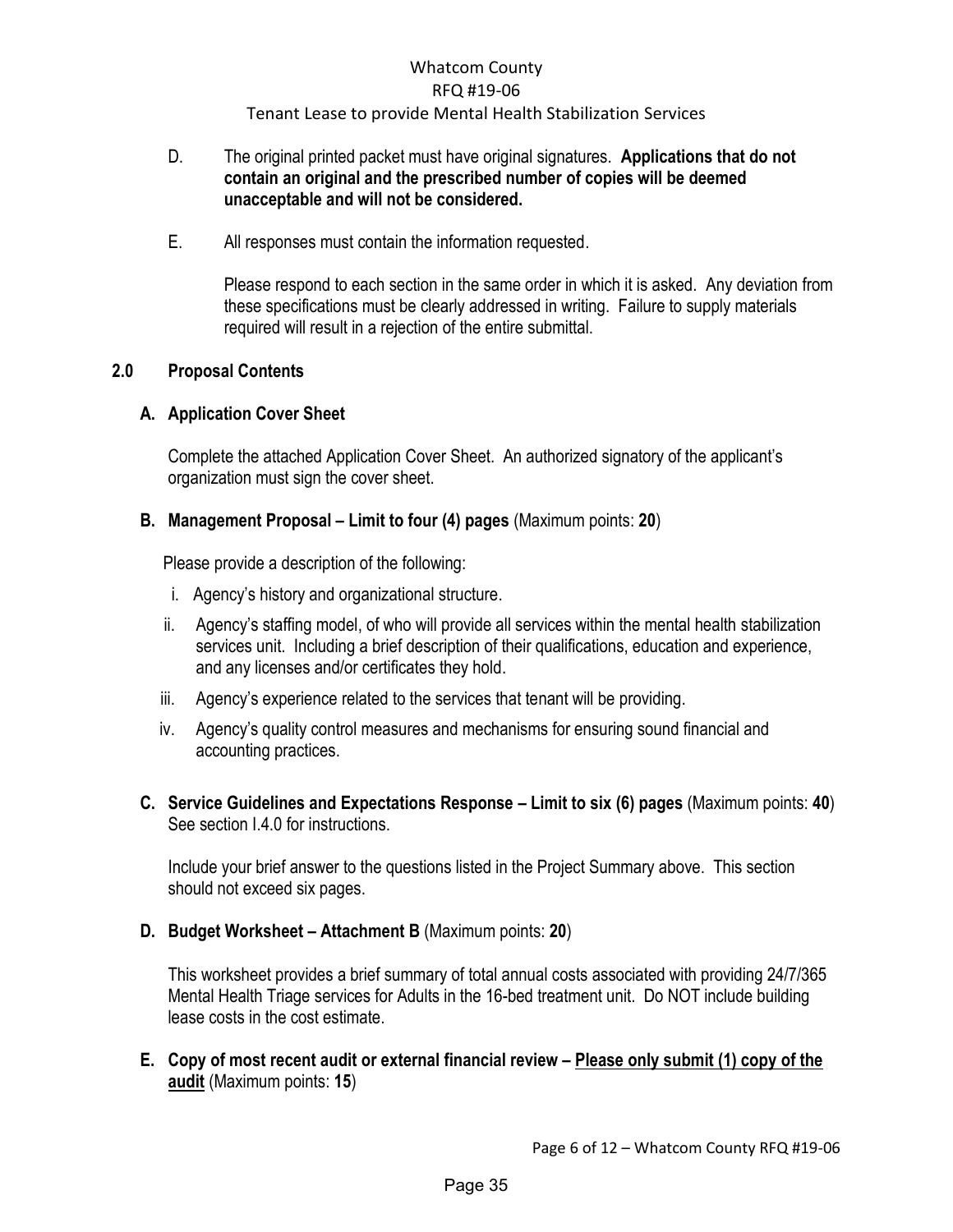#### D. The original printed packet must have original signatures. **Applications that do not contain an original and the prescribed number of copies will be deemed unacceptable and will not be considered.**

E. All responses must contain the information requested.

Please respond to each section in the same order in which it is asked. Any deviation from these specifications must be clearly addressed in writing. Failure to supply materials required will result in a rejection of the entire submittal.

#### <span id="page-7-1"></span><span id="page-7-0"></span>**2.0 Proposal Contents**

#### **A. Application Cover Sheet**

<span id="page-7-2"></span>Complete the attached Application Cover Sheet. An authorized signatory of the applicant's organization must sign the cover sheet.

#### **B. Management Proposal – Limit to four (4) pages** (Maximum points: **20**)

Please provide a description of the following:

- i. Agency's history and organizational structure.
- ii. Agency's staffing model, of who will provide all services within the mental health stabilization services unit. Including a brief description of their qualifications, education and experience, and any licenses and/or certificates they hold.
- iii. Agency's experience related to the services that tenant will be providing.
- iv. Agency's quality control measures and mechanisms for ensuring sound financial and accounting practices.
- <span id="page-7-3"></span>**C. Service Guidelines and Expectations Response – Limit to six (6) pages** (Maximum points: **40**) See section I.4.0 for instructions.

Include your brief answer to the questions listed in the Project Summary above. This section should not exceed six pages.

**D. Budget Worksheet – Attachment B** (Maximum points: **20**)

This worksheet provides a brief summary of total annual costs associated with providing 24/7/365 Mental Health Triage services for Adults in the 16-bed treatment unit. Do NOT include building lease costs in the cost estimate.

<span id="page-7-4"></span>**E. Copy of most recent audit or external financial review – Please only submit (1) copy of the audit** (Maximum points: **15**)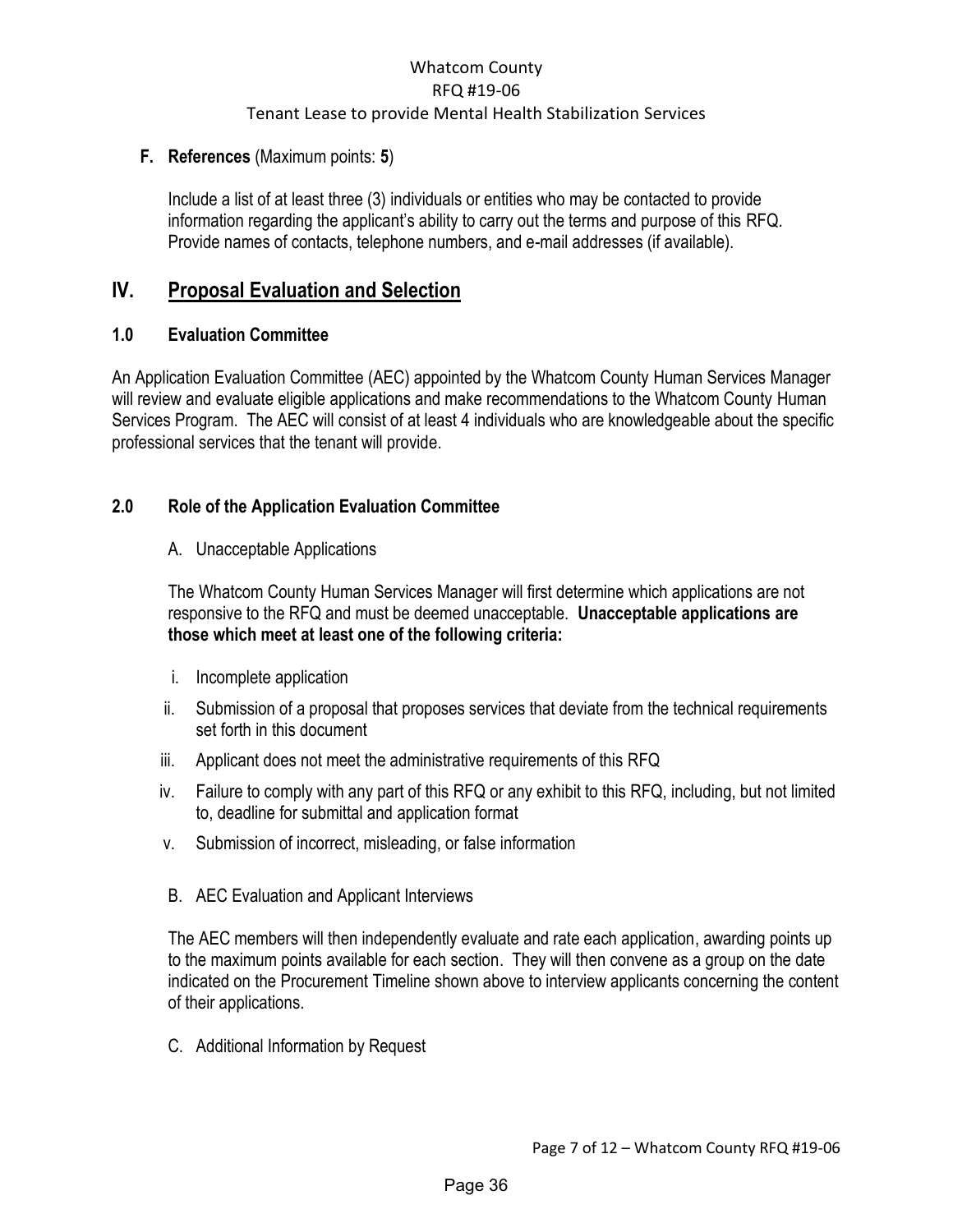#### **F. References** (Maximum points: **5**)

Include a list of at least three (3) individuals or entities who may be contacted to provide information regarding the applicant's ability to carry out the terms and purpose of this RFQ. Provide names of contacts, telephone numbers, and e-mail addresses (if available).

## <span id="page-8-0"></span>**IV. Proposal Evaluation and Selection**

#### <span id="page-8-1"></span>**1.0 Evaluation Committee**

An Application Evaluation Committee (AEC) appointed by the Whatcom County Human Services Manager will review and evaluate eligible applications and make recommendations to the Whatcom County Human Services Program. The AEC will consist of at least 4 individuals who are knowledgeable about the specific professional services that the tenant will provide.

### <span id="page-8-2"></span>**2.0 Role of the Application Evaluation Committee**

A. Unacceptable Applications

The Whatcom County Human Services Manager will first determine which applications are not responsive to the RFQ and must be deemed unacceptable. **Unacceptable applications are those which meet at least one of the following criteria:** 

- i. Incomplete application
- ii. Submission of a proposal that proposes services that deviate from the technical requirements set forth in this document
- iii. Applicant does not meet the administrative requirements of this RFQ
- iv. Failure to comply with any part of this RFQ or any exhibit to this RFQ, including, but not limited to, deadline for submittal and application format
- v. Submission of incorrect, misleading, or false information
- B. AEC Evaluation and Applicant Interviews

The AEC members will then independently evaluate and rate each application, awarding points up to the maximum points available for each section. They will then convene as a group on the date indicated on the Procurement Timeline shown above to interview applicants concerning the content of their applications.

C. Additional Information by Request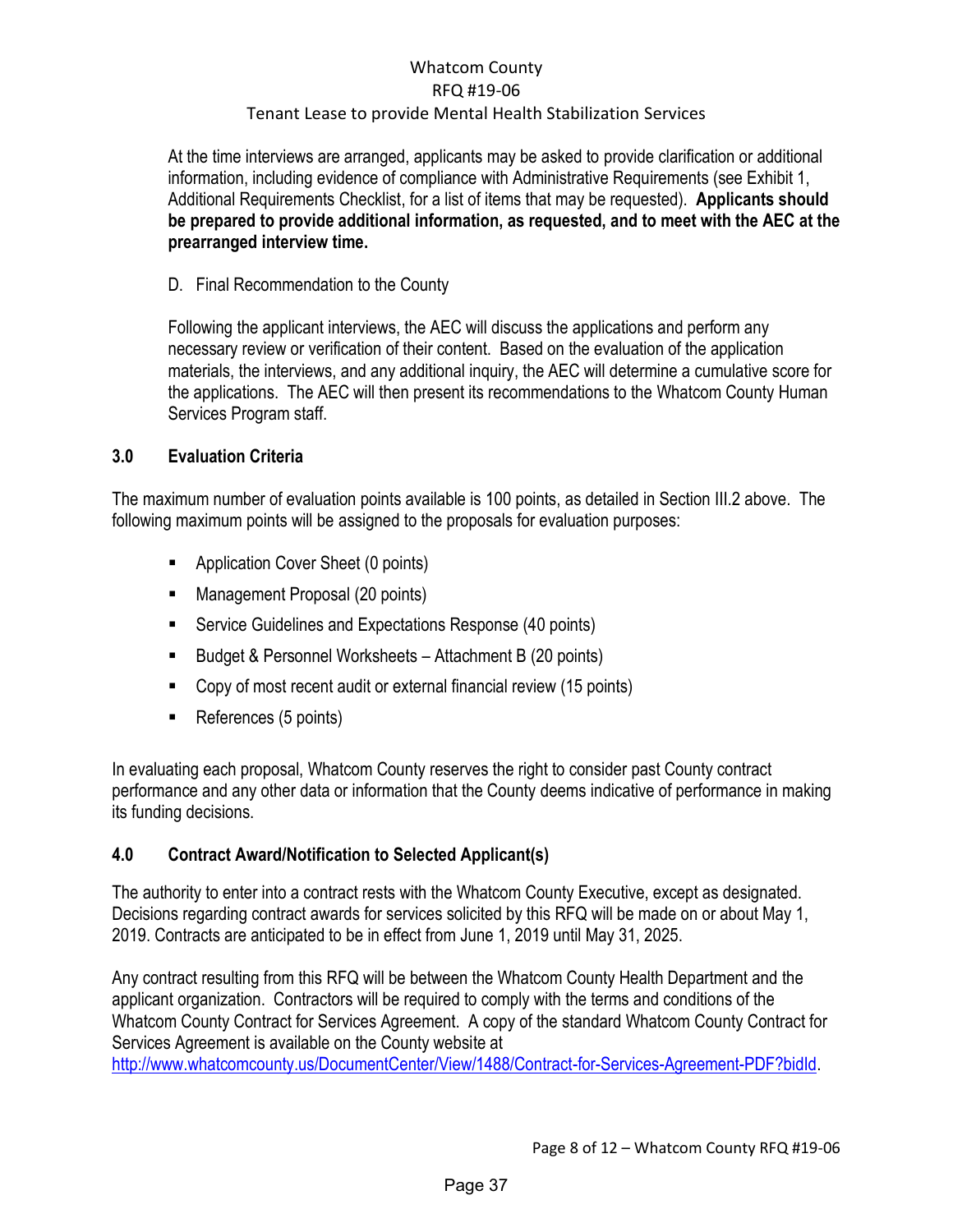At the time interviews are arranged, applicants may be asked to provide clarification or additional information, including evidence of compliance with Administrative Requirements (see Exhibit 1, Additional Requirements Checklist, for a list of items that may be requested). **Applicants should be prepared to provide additional information, as requested, and to meet with the AEC at the prearranged interview time.** 

### D. Final Recommendation to the County

Following the applicant interviews, the AEC will discuss the applications and perform any necessary review or verification of their content. Based on the evaluation of the application materials, the interviews, and any additional inquiry, the AEC will determine a cumulative score for the applications. The AEC will then present its recommendations to the Whatcom County Human Services Program staff.

### <span id="page-9-0"></span>**3.0 Evaluation Criteria**

The maximum number of evaluation points available is 100 points, as detailed in Section III.2 above. The following maximum points will be assigned to the proposals for evaluation purposes:

- Application Cover Sheet (0 points)
- Management Proposal (20 points)
- Service Guidelines and Expectations Response (40 points)
- Budget & Personnel Worksheets Attachment B (20 points)
- Copy of most recent audit or external financial review (15 points)
- References (5 points)

In evaluating each proposal, Whatcom County reserves the right to consider past County contract performance and any other data or information that the County deems indicative of performance in making its funding decisions.

## <span id="page-9-1"></span>**4.0 Contract Award/Notification to Selected Applicant(s)**

The authority to enter into a contract rests with the Whatcom County Executive, except as designated. Decisions regarding contract awards for services solicited by this RFQ will be made on or about May 1, 2019. Contracts are anticipated to be in effect from June 1, 2019 until May 31, 2025.

Any contract resulting from this RFQ will be between the Whatcom County Health Department and the applicant organization. Contractors will be required to comply with the terms and conditions of the Whatcom County Contract for Services Agreement. A copy of the standard Whatcom County Contract for Services Agreement is available on the County website at

[http://www.whatcomcounty.us/DocumentCenter/View/1488/Contract-for-Services-Agreement-PDF?bidId.](http://www.whatcomcounty.us/DocumentCenter/View/1488/Contract-for-Services-Agreement-PDF?bidId)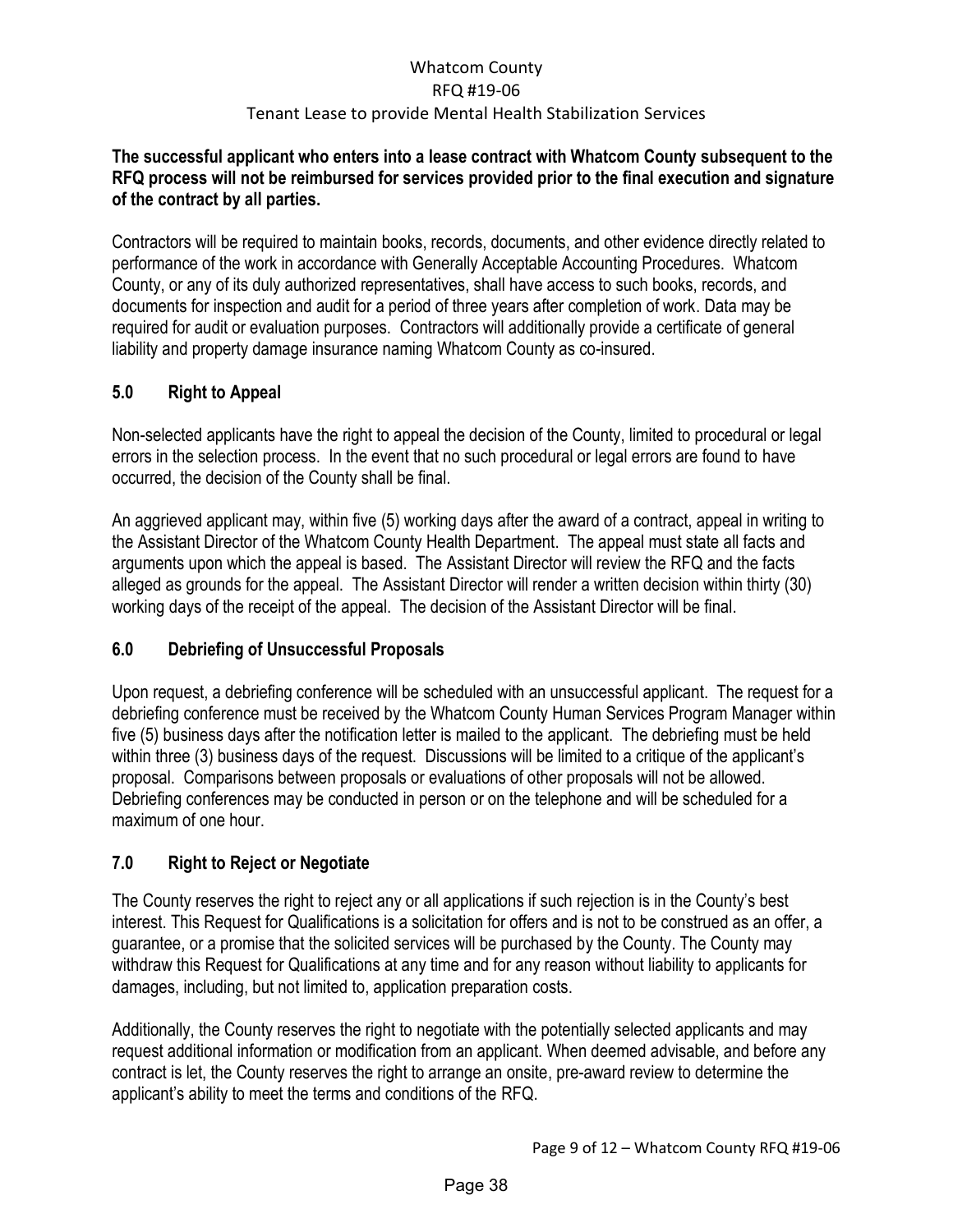#### **The successful applicant who enters into a lease contract with Whatcom County subsequent to the RFQ process will not be reimbursed for services provided prior to the final execution and signature of the contract by all parties.**

Contractors will be required to maintain books, records, documents, and other evidence directly related to performance of the work in accordance with Generally Acceptable Accounting Procedures. Whatcom County, or any of its duly authorized representatives, shall have access to such books, records, and documents for inspection and audit for a period of three years after completion of work. Data may be required for audit or evaluation purposes. Contractors will additionally provide a certificate of general liability and property damage insurance naming Whatcom County as co-insured.

## <span id="page-10-0"></span>**5.0 Right to Appeal**

Non-selected applicants have the right to appeal the decision of the County, limited to procedural or legal errors in the selection process. In the event that no such procedural or legal errors are found to have occurred, the decision of the County shall be final.

An aggrieved applicant may, within five (5) working days after the award of a contract, appeal in writing to the Assistant Director of the Whatcom County Health Department. The appeal must state all facts and arguments upon which the appeal is based. The Assistant Director will review the RFQ and the facts alleged as grounds for the appeal. The Assistant Director will render a written decision within thirty (30) working days of the receipt of the appeal. The decision of the Assistant Director will be final.

## <span id="page-10-1"></span>**6.0 Debriefing of Unsuccessful Proposals**

Upon request, a debriefing conference will be scheduled with an unsuccessful applicant. The request for a debriefing conference must be received by the Whatcom County Human Services Program Manager within five (5) business days after the notification letter is mailed to the applicant. The debriefing must be held within three (3) business days of the request. Discussions will be limited to a critique of the applicant's proposal. Comparisons between proposals or evaluations of other proposals will not be allowed. Debriefing conferences may be conducted in person or on the telephone and will be scheduled for a maximum of one hour.

## <span id="page-10-2"></span>**7.0 Right to Reject or Negotiate**

The County reserves the right to reject any or all applications if such rejection is in the County's best interest. This Request for Qualifications is a solicitation for offers and is not to be construed as an offer, a guarantee, or a promise that the solicited services will be purchased by the County. The County may withdraw this Request for Qualifications at any time and for any reason without liability to applicants for damages, including, but not limited to, application preparation costs.

Additionally, the County reserves the right to negotiate with the potentially selected applicants and may request additional information or modification from an applicant. When deemed advisable, and before any contract is let, the County reserves the right to arrange an onsite, pre-award review to determine the applicant's ability to meet the terms and conditions of the RFQ.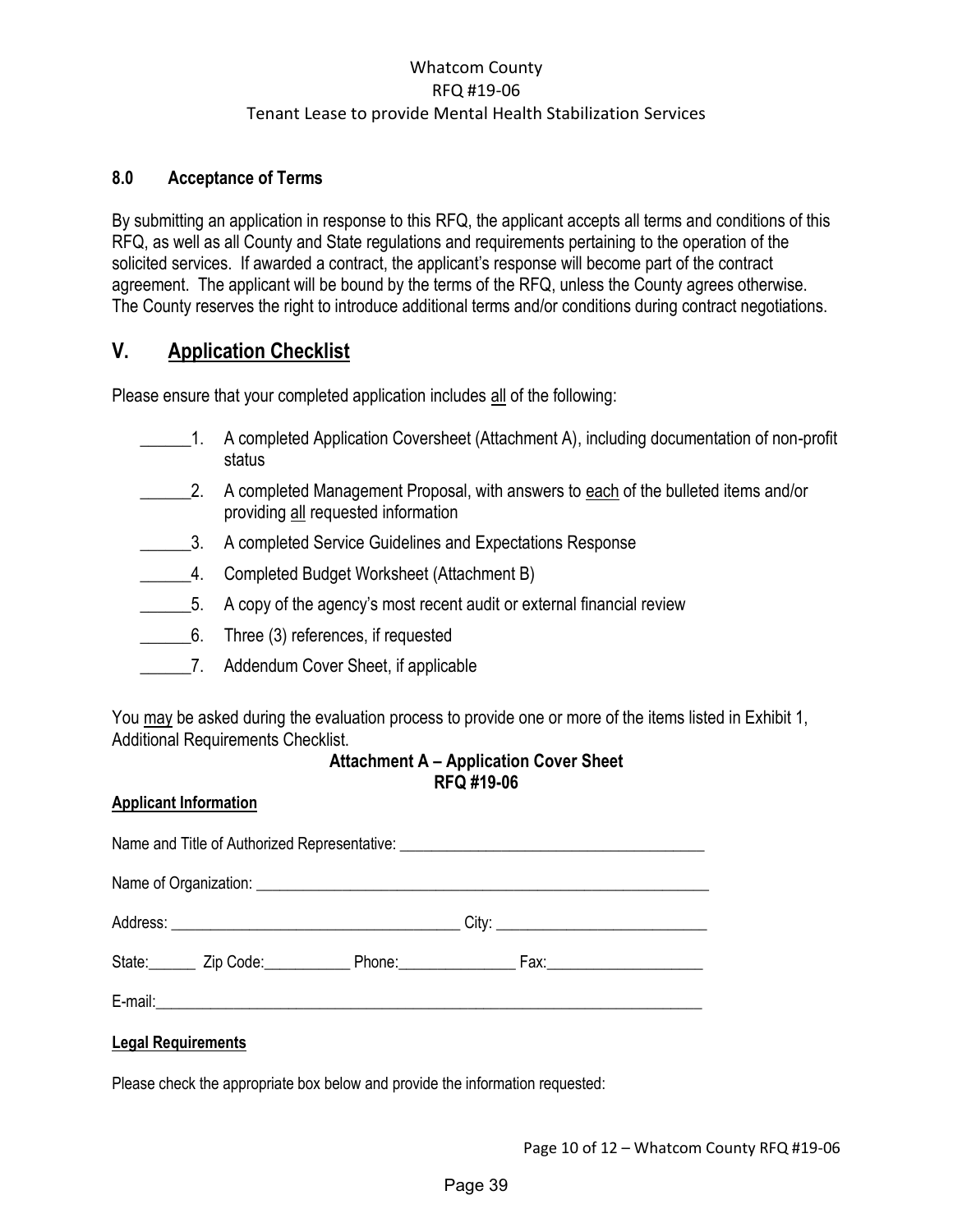#### <span id="page-11-0"></span>**8.0 Acceptance of Terms**

By submitting an application in response to this RFQ, the applicant accepts all terms and conditions of this RFQ, as well as all County and State regulations and requirements pertaining to the operation of the solicited services. If awarded a contract, the applicant's response will become part of the contract agreement. The applicant will be bound by the terms of the RFQ, unless the County agrees otherwise. The County reserves the right to introduce additional terms and/or conditions during contract negotiations.

## <span id="page-11-1"></span>**V. Application Checklist**

Please ensure that your completed application includes all of the following:

- \_\_\_\_\_\_1. A completed Application Coversheet (Attachment A), including documentation of non-profit status
- 2. A completed Management Proposal, with answers to each of the bulleted items and/or providing all requested information
- 3. A completed Service Guidelines and Expectations Response
- \_\_\_\_\_\_4. Completed Budget Worksheet (Attachment B)
- \_\_\_\_\_\_5. A copy of the agency's most recent audit or external financial review
- \_\_\_\_\_\_6. Three (3) references, if requested
- \_\_\_\_\_\_7. Addendum Cover Sheet, if applicable

You may be asked during the evaluation process to provide one or more of the items listed in Exhibit 1, Additional Requirements Checklist.

#### **Attachment A – Application Cover Sheet RFQ #19-06**

#### <span id="page-11-2"></span>**Applicant Information**

|  | Name and Title of Authorized Representative: ___________________________________                    |  |
|--|-----------------------------------------------------------------------------------------------------|--|
|  |                                                                                                     |  |
|  |                                                                                                     |  |
|  | State: _______ Zip Code: _____________ Phone: ____________________ Fax: ___________________________ |  |
|  |                                                                                                     |  |

#### **Legal Requirements**

Please check the appropriate box below and provide the information requested: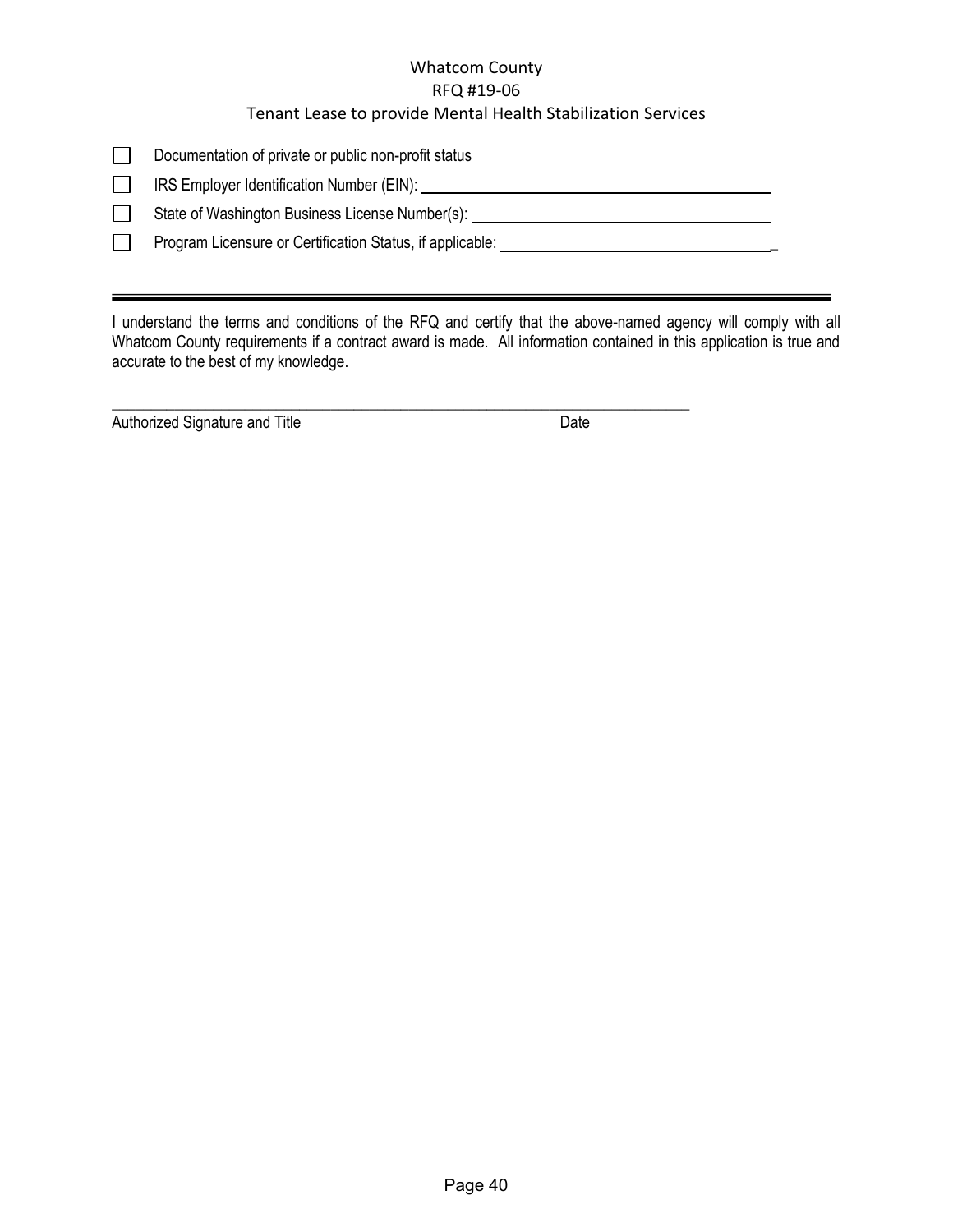| Documentation of private or public non-profit status |
|------------------------------------------------------|
|------------------------------------------------------|

IRS Employer Identification Number (EIN):  $\Box$ 

State of Washington Business License Number(s): \_\_\_\_\_\_\_\_\_\_\_\_\_\_\_\_\_\_\_\_\_\_\_\_\_\_\_\_\_\_\_\_\_  $\Box$ 

 $\Box$ Program Licensure or Certification Status, if applicable: \_\_\_\_\_\_\_\_\_\_\_\_\_\_\_\_\_\_\_\_\_\_\_

I understand the terms and conditions of the RFQ and certify that the above-named agency will comply with all Whatcom County requirements if a contract award is made. All information contained in this application is true and accurate to the best of my knowledge.

\_\_\_\_\_\_\_\_\_\_\_\_\_\_\_\_\_\_\_\_\_\_\_\_\_\_\_\_\_\_\_\_\_\_\_\_\_\_\_\_\_\_\_\_\_\_\_\_\_\_\_\_\_\_\_\_\_\_\_\_\_\_\_\_\_\_\_\_\_\_\_\_\_\_

Authorized Signature and Title **Date** Date